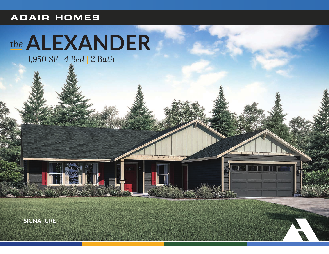### **ADAIR HOMES**

# the ALEXANDER

1,950 SF | 4 Bed | 2 Bath

**SIGNATURE**